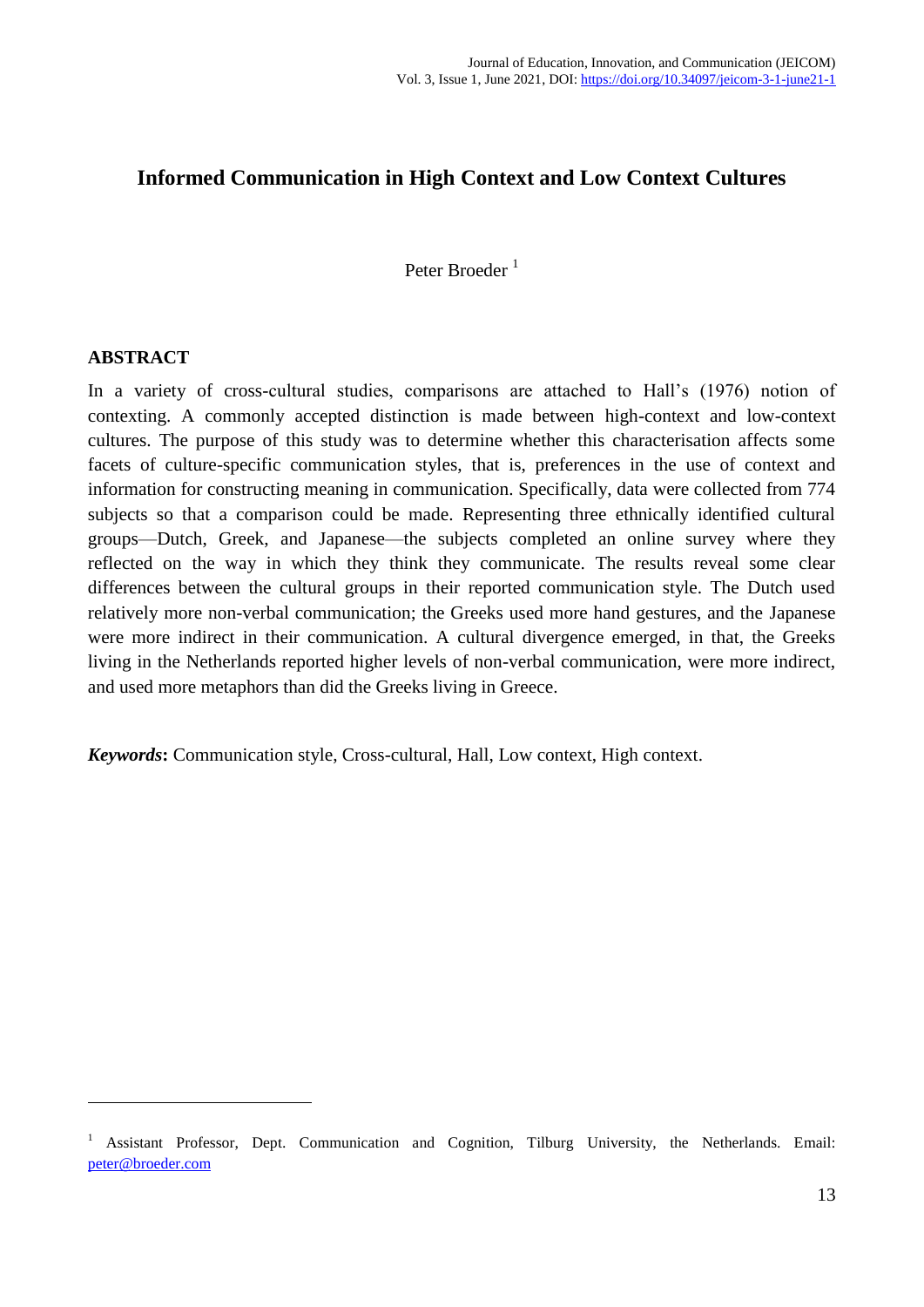# **Informed Communication in High Context and Low Context Cultures**

Peter Broeder<sup>1</sup>

### **ABSTRACT**

1

In a variety of cross-cultural studies, comparisons are attached to Hall's (1976) notion of contexting. A commonly accepted distinction is made between high-context and low-context cultures. The purpose of this study was to determine whether this characterisation affects some facets of culture-specific communication styles, that is, preferences in the use of context and information for constructing meaning in communication. Specifically, data were collected from 774 subjects so that a comparison could be made. Representing three ethnically identified cultural groups—Dutch, Greek, and Japanese—the subjects completed an online survey where they reflected on the way in which they think they communicate. The results reveal some clear differences between the cultural groups in their reported communication style. The Dutch used relatively more non-verbal communication; the Greeks used more hand gestures, and the Japanese were more indirect in their communication. A cultural divergence emerged, in that, the Greeks living in the Netherlands reported higher levels of non-verbal communication, were more indirect, and used more metaphors than did the Greeks living in Greece.

*Keywords***:** Communication style, Cross-cultural, Hall, Low context, High context.

<sup>&</sup>lt;sup>1</sup> Assistant Professor, Dept. Communication and Cognition, Tilburg University, the Netherlands. Email: [peter@broeder.com](mailto:peter@broeder.com)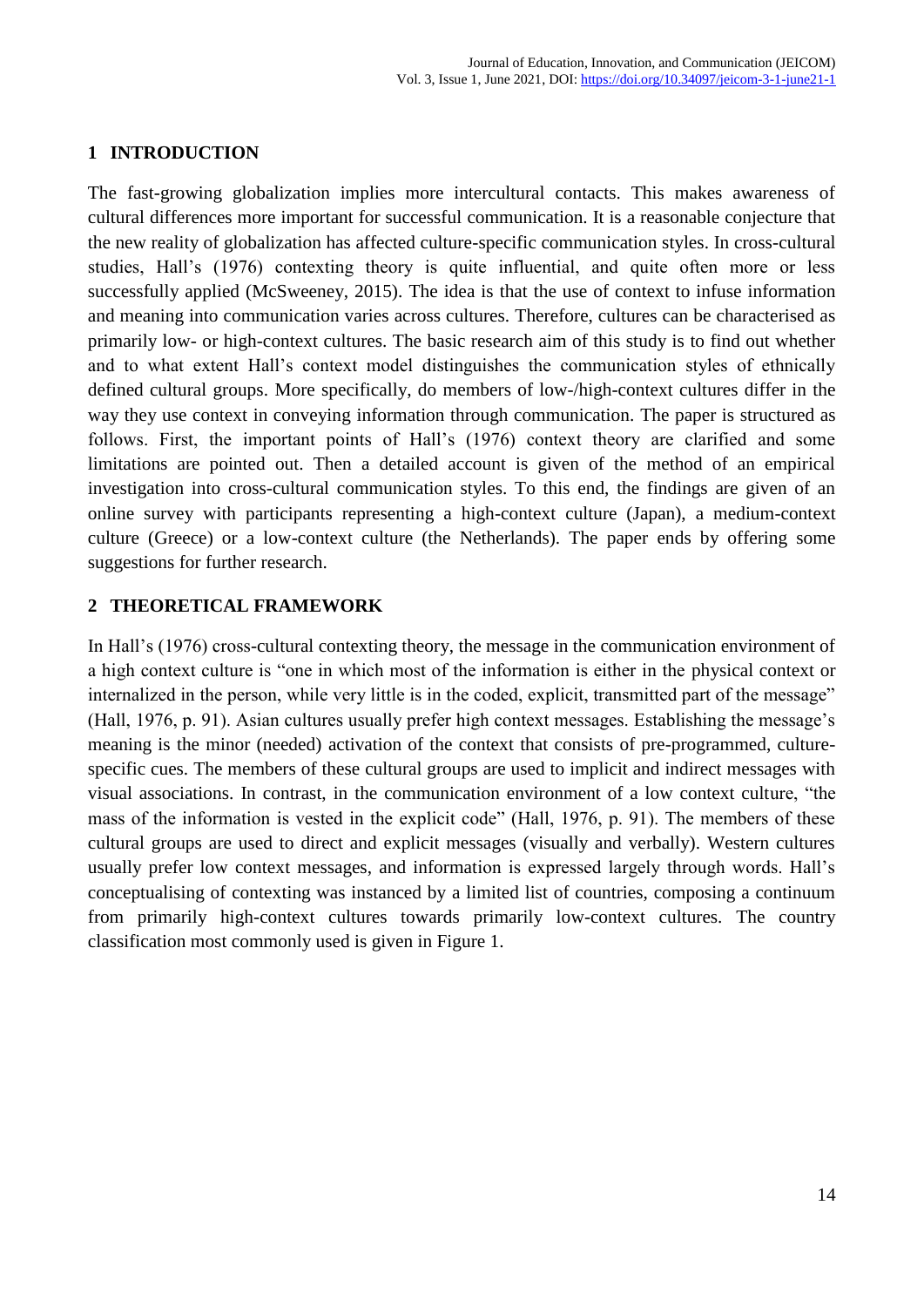## **1 INTRODUCTION**

The fast-growing globalization implies more intercultural contacts. This makes awareness of cultural differences more important for successful communication. It is a reasonable conjecture that the new reality of globalization has affected culture-specific communication styles. In cross-cultural studies, Hall's (1976) contexting theory is quite influential, and quite often more or less successfully applied (McSweeney, 2015). The idea is that the use of context to infuse information and meaning into communication varies across cultures. Therefore, cultures can be characterised as primarily low- or high-context cultures. The basic research aim of this study is to find out whether and to what extent Hall's context model distinguishes the communication styles of ethnically defined cultural groups. More specifically, do members of low-/high-context cultures differ in the way they use context in conveying information through communication. The paper is structured as follows. First, the important points of Hall's (1976) context theory are clarified and some limitations are pointed out. Then a detailed account is given of the method of an empirical investigation into cross-cultural communication styles. To this end, the findings are given of an online survey with participants representing a high-context culture (Japan), a medium-context culture (Greece) or a low-context culture (the Netherlands). The paper ends by offering some suggestions for further research.

## **2 THEORETICAL FRAMEWORK**

In Hall's (1976) cross-cultural contexting theory, the message in the communication environment of a high context culture is "one in which most of the information is either in the physical context or internalized in the person, while very little is in the coded, explicit, transmitted part of the message" (Hall, 1976, p. 91). Asian cultures usually prefer high context messages. Establishing the message's meaning is the minor (needed) activation of the context that consists of pre-programmed, culturespecific cues. The members of these cultural groups are used to implicit and indirect messages with visual associations. In contrast, in the communication environment of a low context culture, "the mass of the information is vested in the explicit code" (Hall, 1976, p. 91). The members of these cultural groups are used to direct and explicit messages (visually and verbally). Western cultures usually prefer low context messages, and information is expressed largely through words. Hall's conceptualising of contexting was instanced by a limited list of countries, composing a continuum from primarily high-context cultures towards primarily low-context cultures. The country classification most commonly used is given in Figure 1.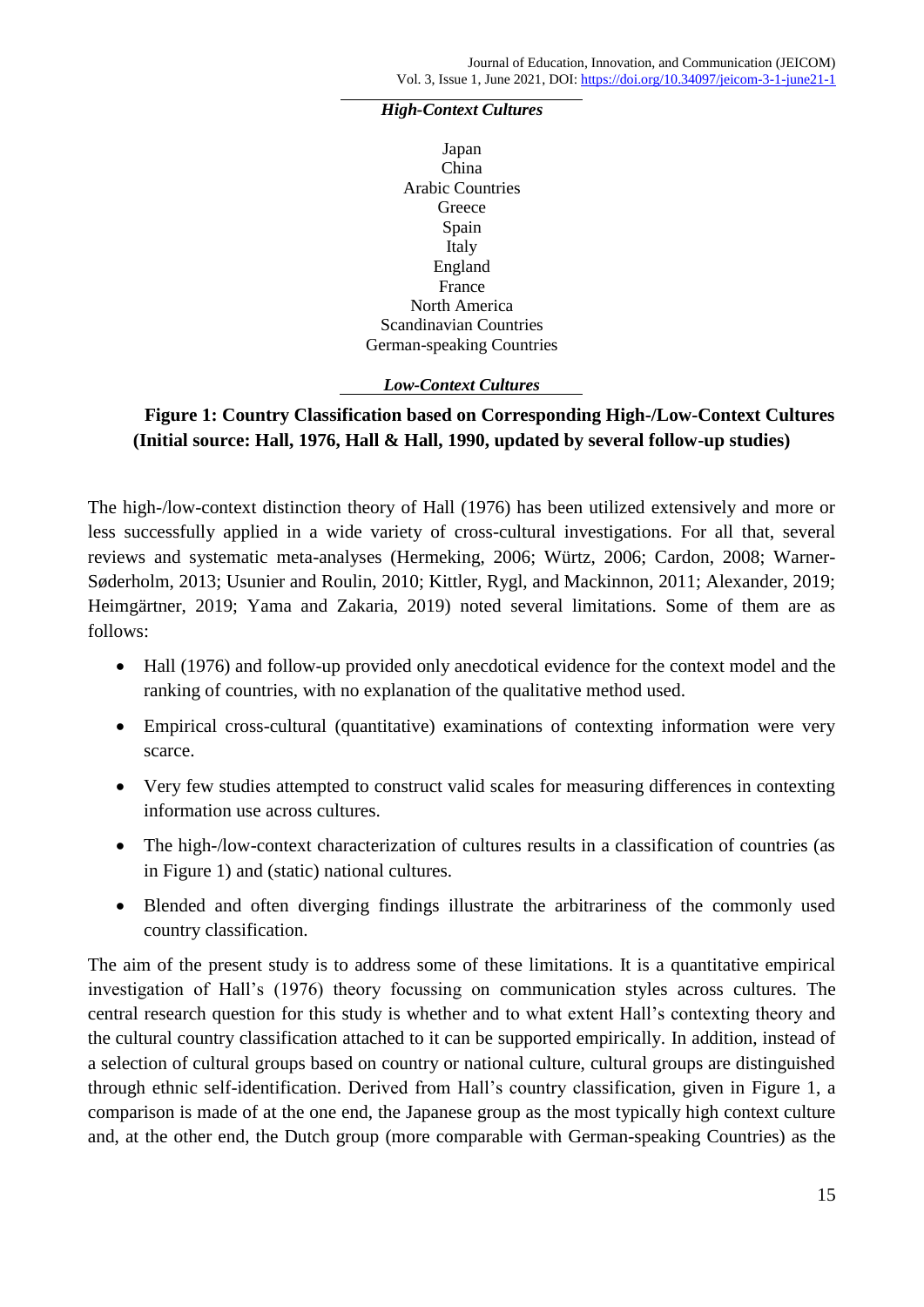#### *High-Context Cultures*

Japan China Arabic Countries **Greece** Spain Italy England France North America Scandinavian Countries German-speaking Countries

#### *Low-Context Cultures*

## **Figure 1: Country Classification based on Corresponding High-/Low-Context Cultures (Initial source: Hall, 1976, Hall & Hall, 1990, updated by several follow-up studies)**

The high-/low-context distinction theory of Hall (1976) has been utilized extensively and more or less successfully applied in a wide variety of cross-cultural investigations. For all that, several reviews and systematic meta-analyses (Hermeking, 2006; Würtz, 2006; Cardon, 2008; Warner-Søderholm, 2013; Usunier and Roulin, 2010; Kittler, Rygl, and Mackinnon, 2011; Alexander, 2019; Heimgärtner, 2019; Yama and Zakaria, 2019) noted several limitations. Some of them are as follows:

- Hall (1976) and follow-up provided only anecdotical evidence for the context model and the ranking of countries, with no explanation of the qualitative method used.
- Empirical cross-cultural (quantitative) examinations of contexting information were very scarce.
- Very few studies attempted to construct valid scales for measuring differences in contexting information use across cultures.
- The high-/low-context characterization of cultures results in a classification of countries (as in Figure 1) and (static) national cultures.
- Blended and often diverging findings illustrate the arbitrariness of the commonly used country classification.

The aim of the present study is to address some of these limitations. It is a quantitative empirical investigation of Hall's (1976) theory focussing on communication styles across cultures. The central research question for this study is whether and to what extent Hall's contexting theory and the cultural country classification attached to it can be supported empirically. In addition, instead of a selection of cultural groups based on country or national culture, cultural groups are distinguished through ethnic self-identification. Derived from Hall's country classification, given in Figure 1, a comparison is made of at the one end, the Japanese group as the most typically high context culture and, at the other end, the Dutch group (more comparable with German-speaking Countries) as the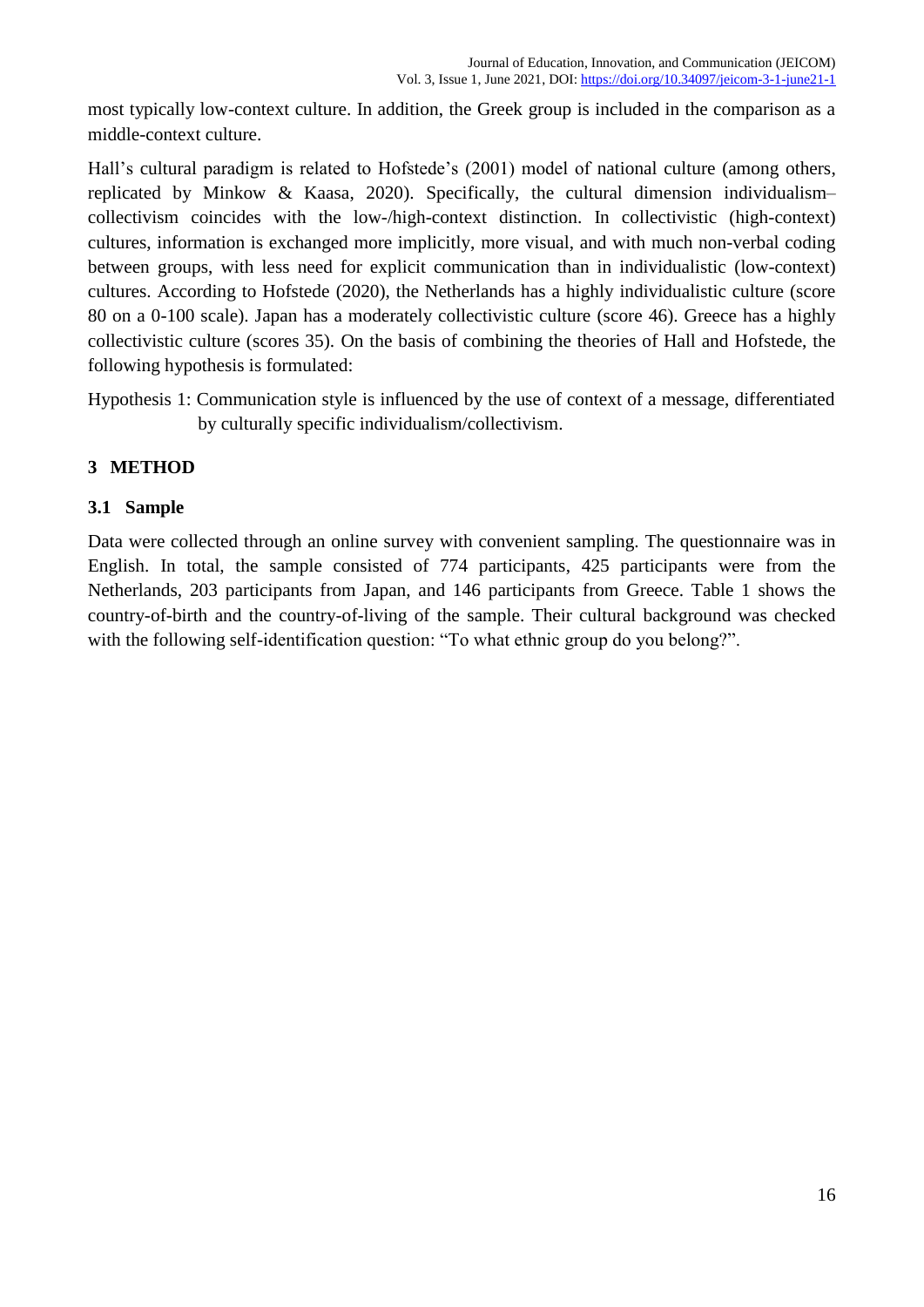most typically low-context culture. In addition, the Greek group is included in the comparison as a middle-context culture.

Hall's cultural paradigm is related to Hofstede's (2001) model of national culture (among others, replicated by Minkow & Kaasa, 2020). Specifically, the cultural dimension individualism– collectivism coincides with the low-/high-context distinction. In collectivistic (high-context) cultures, information is exchanged more implicitly, more visual, and with much non-verbal coding between groups, with less need for explicit communication than in individualistic (low-context) cultures. According to Hofstede (2020), the Netherlands has a highly individualistic culture (score 80 on a 0-100 scale). Japan has a moderately collectivistic culture (score 46). Greece has a highly collectivistic culture (scores 35). On the basis of combining the theories of Hall and Hofstede, the following hypothesis is formulated:

Hypothesis 1: Communication style is influenced by the use of context of a message, differentiated by culturally specific individualism/collectivism.

## **3 METHOD**

### **3.1 Sample**

Data were collected through an online survey with convenient sampling. The questionnaire was in English. In total, the sample consisted of 774 participants, 425 participants were from the Netherlands, 203 participants from Japan, and 146 participants from Greece. Table 1 shows the country-of-birth and the country-of-living of the sample. Their cultural background was checked with the following self-identification question: "To what ethnic group do you belong?".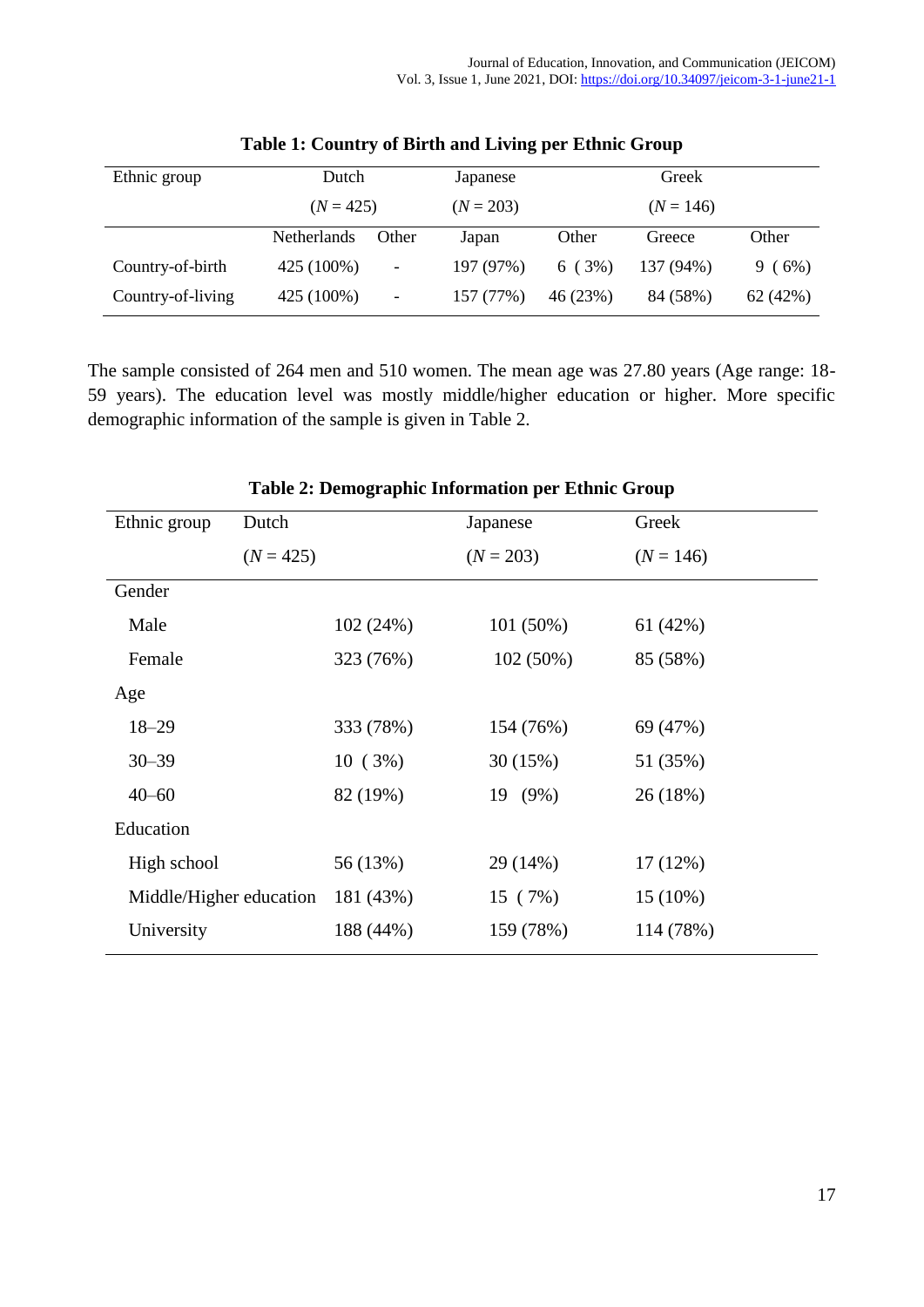| Ethnic group      | Dutch              |                          | Japanese    | Greek       |             |          |
|-------------------|--------------------|--------------------------|-------------|-------------|-------------|----------|
|                   | $(N = 425)$        |                          | $(N = 203)$ | $(N = 146)$ |             |          |
|                   | <b>Netherlands</b> | Other                    | Japan       | Other       | Greece      | Other    |
| Country-of-birth  | 425 (100%)         | $\overline{\phantom{a}}$ | 197 (97%)   | 6(3%)       | $137(94\%)$ | 9(6%)    |
| Country-of-living | 425 (100%)         | $\overline{\phantom{a}}$ | 157 (77%)   | 46 (23%)    | 84 (58%)    | 62 (42%) |

**Table 1: Country of Birth and Living per Ethnic Group**

The sample consisted of 264 men and 510 women. The mean age was 27.80 years (Age range: 18- 59 years). The education level was mostly middle/higher education or higher. More specific demographic information of the sample is given in Table 2.

| n Benograpine miorinavon per Banne Sroap |             |           |             |  |             |  |  |  |  |
|------------------------------------------|-------------|-----------|-------------|--|-------------|--|--|--|--|
| Ethnic group                             | Dutch       |           | Japanese    |  | Greek       |  |  |  |  |
|                                          | $(N = 425)$ |           | $(N = 203)$ |  | $(N = 146)$ |  |  |  |  |
| Gender                                   |             |           |             |  |             |  |  |  |  |
| Male                                     |             | 102 (24%) | 101(50%)    |  | 61(42%)     |  |  |  |  |
| Female                                   |             | 323 (76%) | 102(50%)    |  | 85 (58%)    |  |  |  |  |
| Age                                      |             |           |             |  |             |  |  |  |  |
| $18 - 29$                                |             | 333 (78%) | 154 (76%)   |  | 69 (47%)    |  |  |  |  |
| $30 - 39$                                |             | 10(3%)    | 30(15%)     |  | 51 (35%)    |  |  |  |  |
| $40 - 60$                                |             | 82 (19%)  | 19 (9%)     |  | 26 (18%)    |  |  |  |  |
| Education                                |             |           |             |  |             |  |  |  |  |
| High school                              |             | 56 (13%)  | 29 (14%)    |  | 17(12%)     |  |  |  |  |
| Middle/Higher education                  |             | 181 (43%) | 15(7%)      |  | $15(10\%)$  |  |  |  |  |
| University                               |             | 188 (44%) | 159 (78%)   |  | 114 (78%)   |  |  |  |  |

### **Table 2: Demographic Information per Ethnic Group**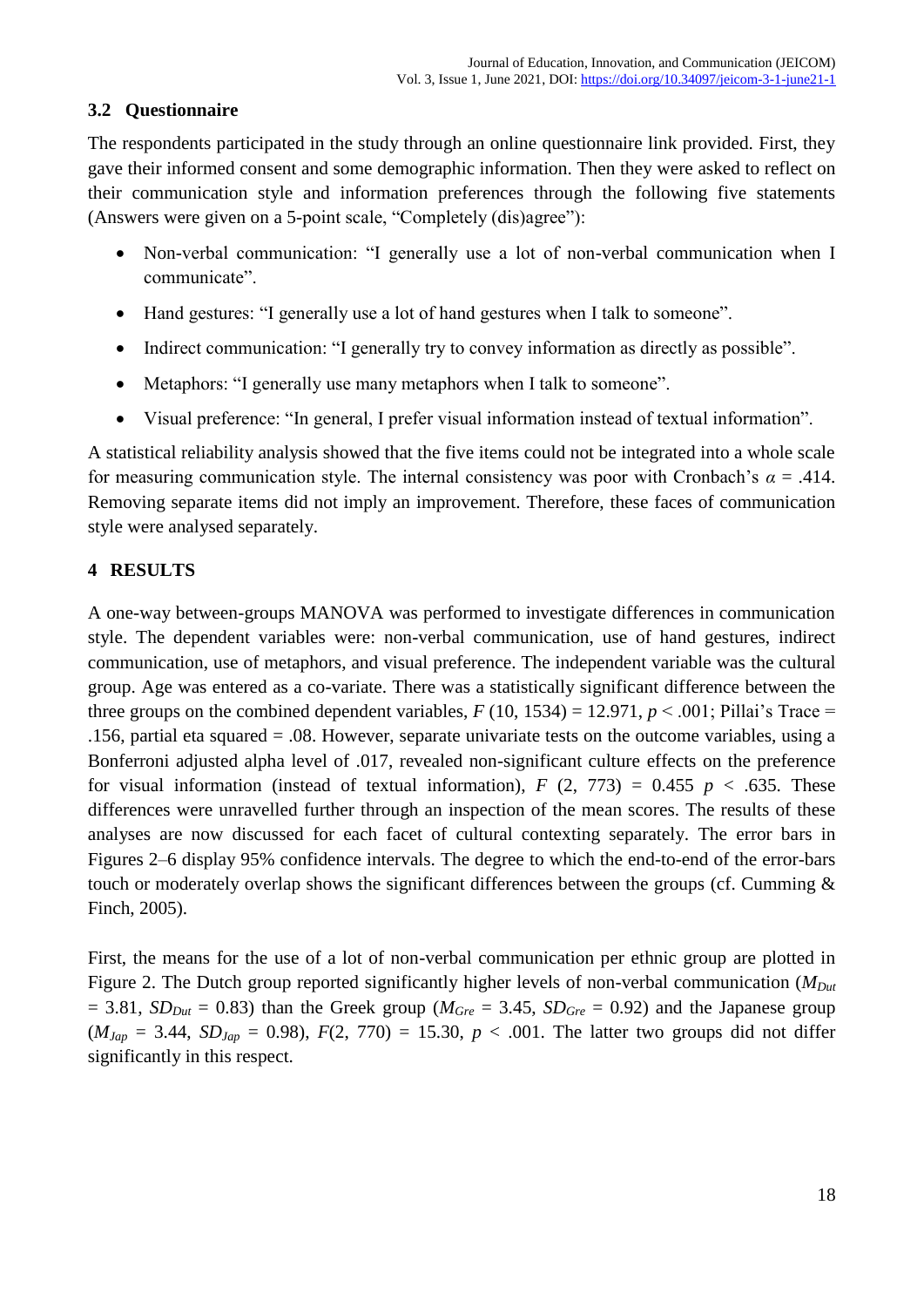## **3.2 Questionnaire**

The respondents participated in the study through an online questionnaire link provided. First, they gave their informed consent and some demographic information. Then they were asked to reflect on their communication style and information preferences through the following five statements (Answers were given on a 5-point scale, "Completely (dis)agree"):

- Non-verbal communication: "I generally use a lot of non-verbal communication when I communicate".
- Hand gestures: "I generally use a lot of hand gestures when I talk to someone".
- Indirect communication: "I generally try to convey information as directly as possible".
- Metaphors: "I generally use many metaphors when I talk to someone".
- Visual preference: "In general, I prefer visual information instead of textual information".

A statistical reliability analysis showed that the five items could not be integrated into a whole scale for measuring communication style. The internal consistency was poor with Cronbach's  $\alpha = .414$ . Removing separate items did not imply an improvement. Therefore, these faces of communication style were analysed separately.

## **4 RESULTS**

A one-way between-groups MANOVA was performed to investigate differences in communication style. The dependent variables were: non-verbal communication, use of hand gestures, indirect communication, use of metaphors, and visual preference. The independent variable was the cultural group. Age was entered as a co-variate. There was a statistically significant difference between the three groups on the combined dependent variables,  $F(10, 1534) = 12.971$ ,  $p < .001$ ; Pillai's Trace = .156, partial eta squared = .08. However, separate univariate tests on the outcome variables, using a Bonferroni adjusted alpha level of .017, revealed non-significant culture effects on the preference for visual information (instead of textual information),  $F(2, 773) = 0.455$   $p < .635$ . These differences were unravelled further through an inspection of the mean scores. The results of these analyses are now discussed for each facet of cultural contexting separately. The error bars in Figures 2–6 display 95% confidence intervals. The degree to which the end-to-end of the error-bars touch or moderately overlap shows the significant differences between the groups (cf. Cumming & Finch, 2005).

First, the means for the use of a lot of non-verbal communication per ethnic group are plotted in Figure 2. The Dutch group reported significantly higher levels of non-verbal communication (*MDut*  $= 3.81$ , *SD*<sub>*Dut</sub>*  $= 0.83$ ) than the Greek group ( $M_{Gre} = 3.45$ , *SD<sub>Gre</sub>*  $= 0.92$ ) and the Japanese group</sub>  $(M_{Jap} = 3.44, SD_{Jap} = 0.98), F(2, 770) = 15.30, p < .001$ . The latter two groups did not differ significantly in this respect.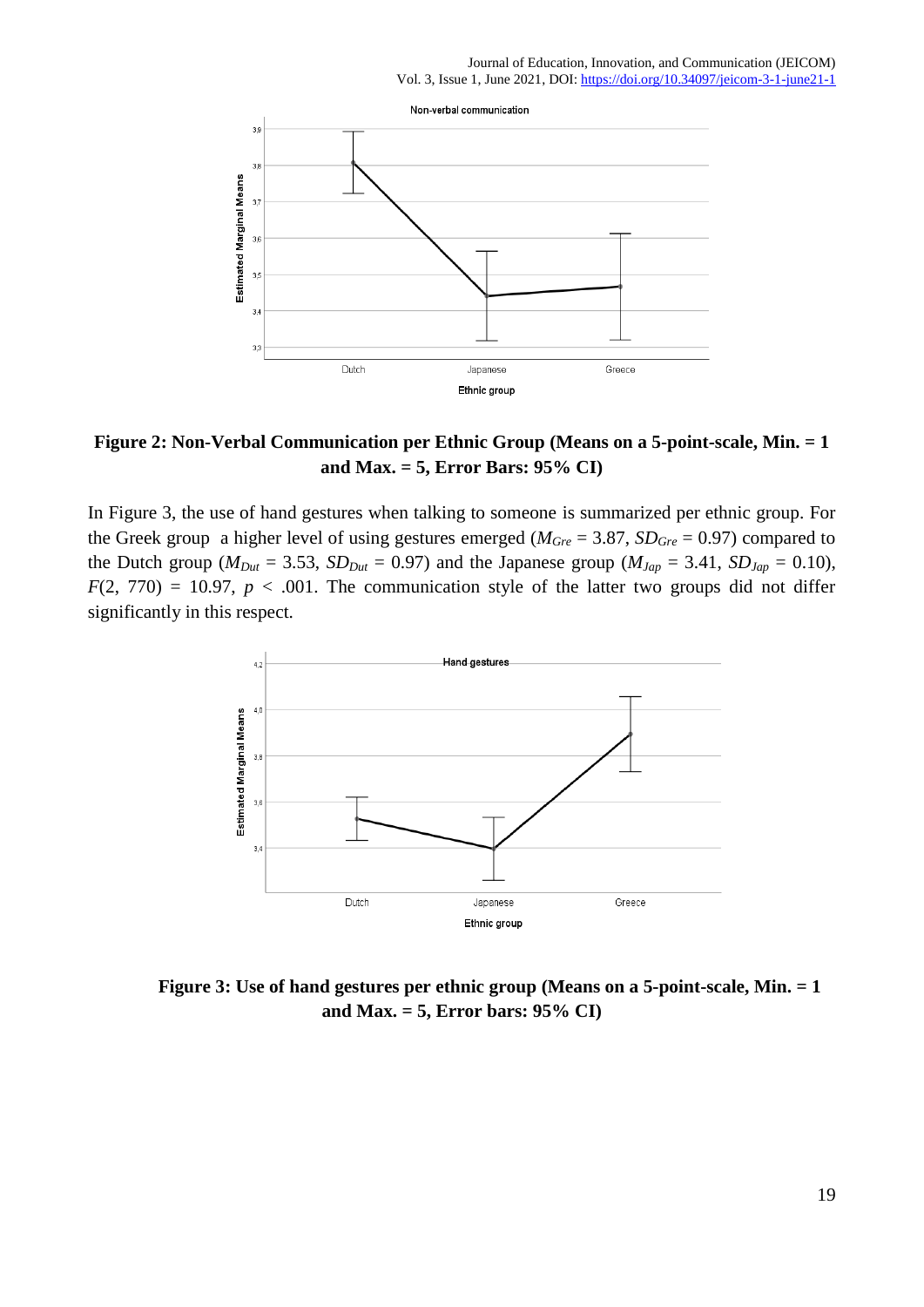

## **Figure 2: Non-Verbal Communication per Ethnic Group (Means on a 5-point-scale, Min. = 1 and Max. = 5, Error Bars: 95% CI)**

In Figure 3, the use of hand gestures when talking to someone is summarized per ethnic group. For the Greek group a higher level of using gestures emerged ( $M_{Gre} = 3.87$ ,  $SD_{Gre} = 0.97$ ) compared to the Dutch group ( $M_{Dut} = 3.53$ ,  $SD_{Dut} = 0.97$ ) and the Japanese group ( $M_{Jap} = 3.41$ ,  $SD_{Jap} = 0.10$ ),  $F(2, 770) = 10.97$ ,  $p < .001$ . The communication style of the latter two groups did not differ significantly in this respect.



**Figure 3: Use of hand gestures per ethnic group (Means on a 5-point-scale, Min. = 1 and Max. = 5, Error bars: 95% CI)**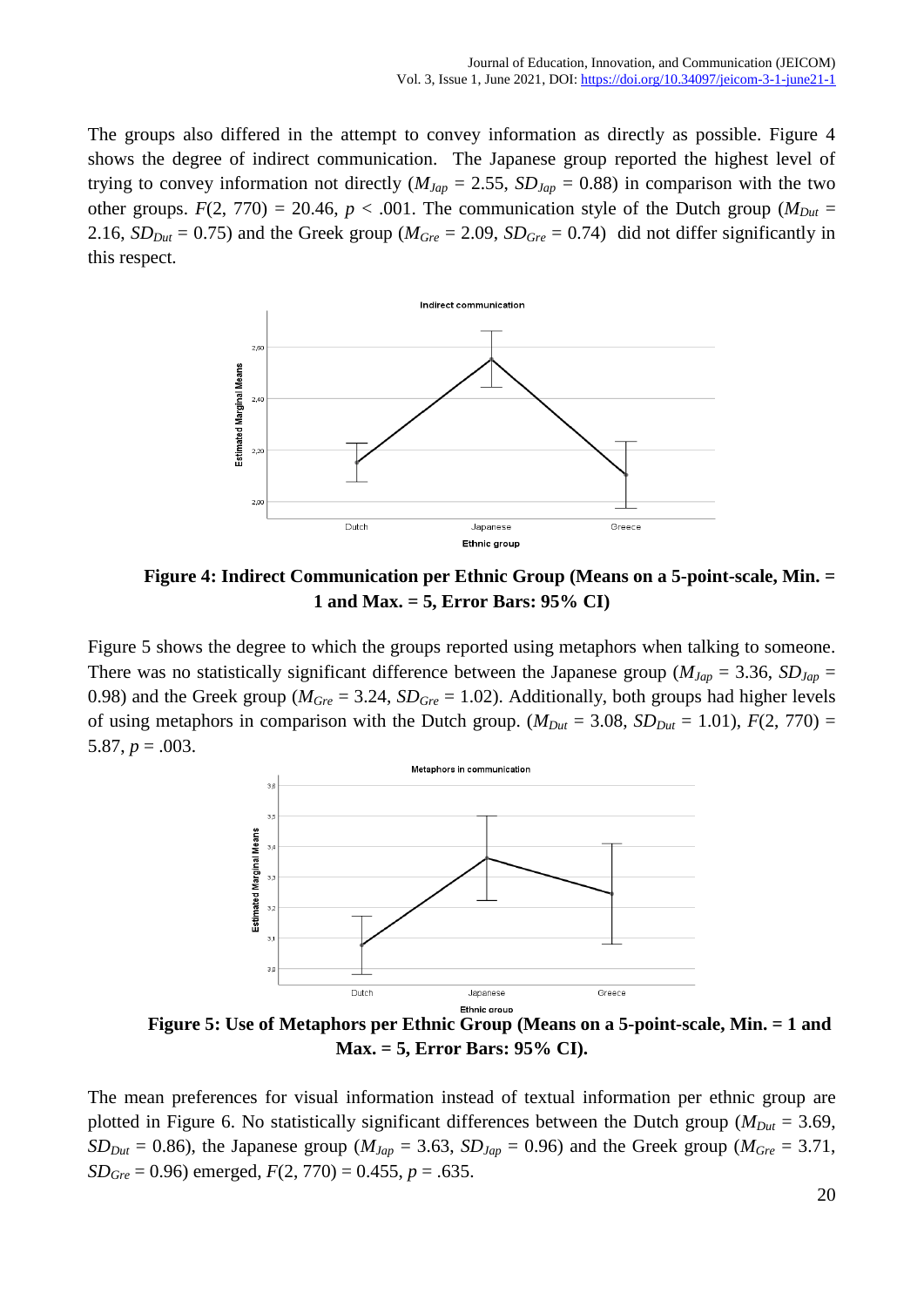The groups also differed in the attempt to convey information as directly as possible. Figure 4 shows the degree of indirect communication. The Japanese group reported the highest level of trying to convey information not directly ( $M_{Jap} = 2.55$ ,  $SD_{Jap} = 0.88$ ) in comparison with the two other groups.  $F(2, 770) = 20.46$ ,  $p < .001$ . The communication style of the Dutch group ( $M_{Out}$  = 2.16,  $SD_{Out} = 0.75$ ) and the Greek group ( $M_{Gre} = 2.09$ ,  $SD_{Gre} = 0.74$ ) did not differ significantly in this respect.



**Figure 4: Indirect Communication per Ethnic Group (Means on a 5-point-scale, Min. = 1 and Max. = 5, Error Bars: 95% CI)**

Figure 5 shows the degree to which the groups reported using metaphors when talking to someone. There was no statistically significant difference between the Japanese group ( $M_{Jap}$  = 3.36,  $SD_{Jap}$  = 0.98) and the Greek group ( $M_{Gre} = 3.24$ ,  $SD_{Gre} = 1.02$ ). Additionally, both groups had higher levels of using metaphors in comparison with the Dutch group. ( $M_{Out} = 3.08$ ,  $SD_{Out} = 1.01$ ),  $F(2, 770) =$ 5.87,  $p = .003$ .



**Figure 5: Use of Metaphors per Ethnic Group (Means on a 5-point-scale, Min. = 1 and Max. = 5, Error Bars: 95% CI).**

The mean preferences for visual information instead of textual information per ethnic group are plotted in Figure 6. No statistically significant differences between the Dutch group ( $M_{Out} = 3.69$ ,  $SD_{Out} = 0.86$ ), the Japanese group ( $M_{Jap} = 3.63$ ,  $SD_{Jap} = 0.96$ ) and the Greek group ( $M_{Gre} = 3.71$ , *SDGre* = 0.96) emerged, *F*(2, 770) = 0.455, *p* = .635.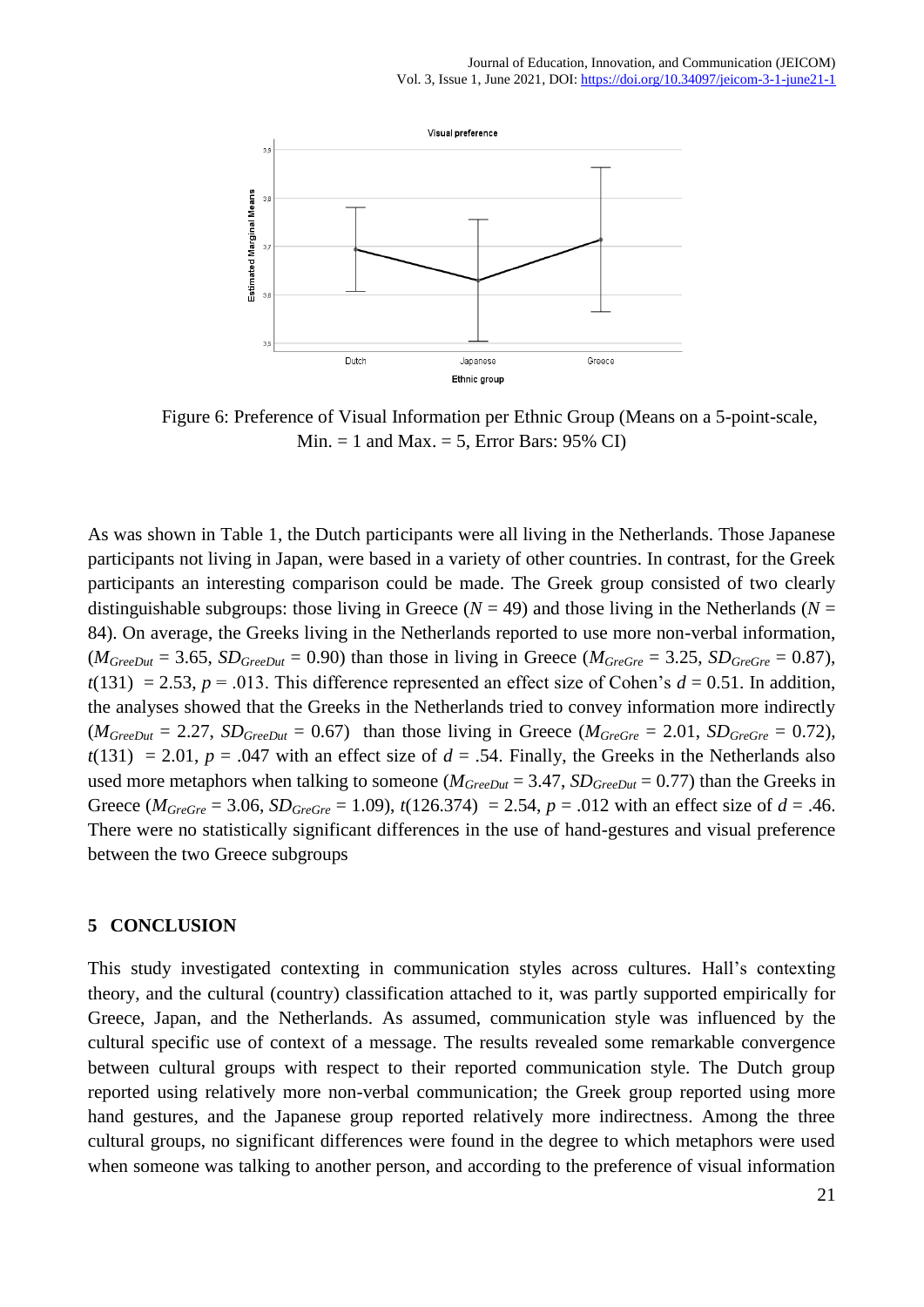

Figure 6: Preference of Visual Information per Ethnic Group (Means on a 5-point-scale, Min.  $= 1$  and Max.  $= 5$ , Error Bars: 95% CI)

As was shown in Table 1, the Dutch participants were all living in the Netherlands. Those Japanese participants not living in Japan, were based in a variety of other countries. In contrast, for the Greek participants an interesting comparison could be made. The Greek group consisted of two clearly distinguishable subgroups: those living in Greece ( $N = 49$ ) and those living in the Netherlands ( $N =$ 84). On average, the Greeks living in the Netherlands reported to use more non-verbal information,  $(M_{GreenOut} = 3.65, SD_{GreenOut} = 0.90)$  than those in living in Greece ( $M_{Green} = 3.25, SD_{Green} = 0.87$ ),  $t(131) = 2.53$ ,  $p = .013$ . This difference represented an effect size of Cohen's  $d = 0.51$ . In addition, the analyses showed that the Greeks in the Netherlands tried to convey information more indirectly  $(M_{GreenOut} = 2.27, SD_{GreenOut} = 0.67)$  than those living in Greece ( $M_{Green} = 2.01, SD_{Green} = 0.72$ ),  $t(131) = 2.01$ ,  $p = .047$  with an effect size of  $d = .54$ . Finally, the Greeks in the Netherlands also used more metaphors when talking to someone ( $M_{GreDut} = 3.47$ ,  $SD_{GreDut} = 0.77$ ) than the Greeks in Greece ( $M_{GreGre} = 3.06$ ,  $SD_{GreGre} = 1.09$ ),  $t(126.374) = 2.54$ ,  $p = .012$  with an effect size of  $d = .46$ . There were no statistically significant differences in the use of hand-gestures and visual preference between the two Greece subgroups

#### **5 CONCLUSION**

This study investigated contexting in communication styles across cultures. Hall's contexting theory, and the cultural (country) classification attached to it, was partly supported empirically for Greece, Japan, and the Netherlands. As assumed, communication style was influenced by the cultural specific use of context of a message. The results revealed some remarkable convergence between cultural groups with respect to their reported communication style. The Dutch group reported using relatively more non-verbal communication; the Greek group reported using more hand gestures, and the Japanese group reported relatively more indirectness. Among the three cultural groups, no significant differences were found in the degree to which metaphors were used when someone was talking to another person, and according to the preference of visual information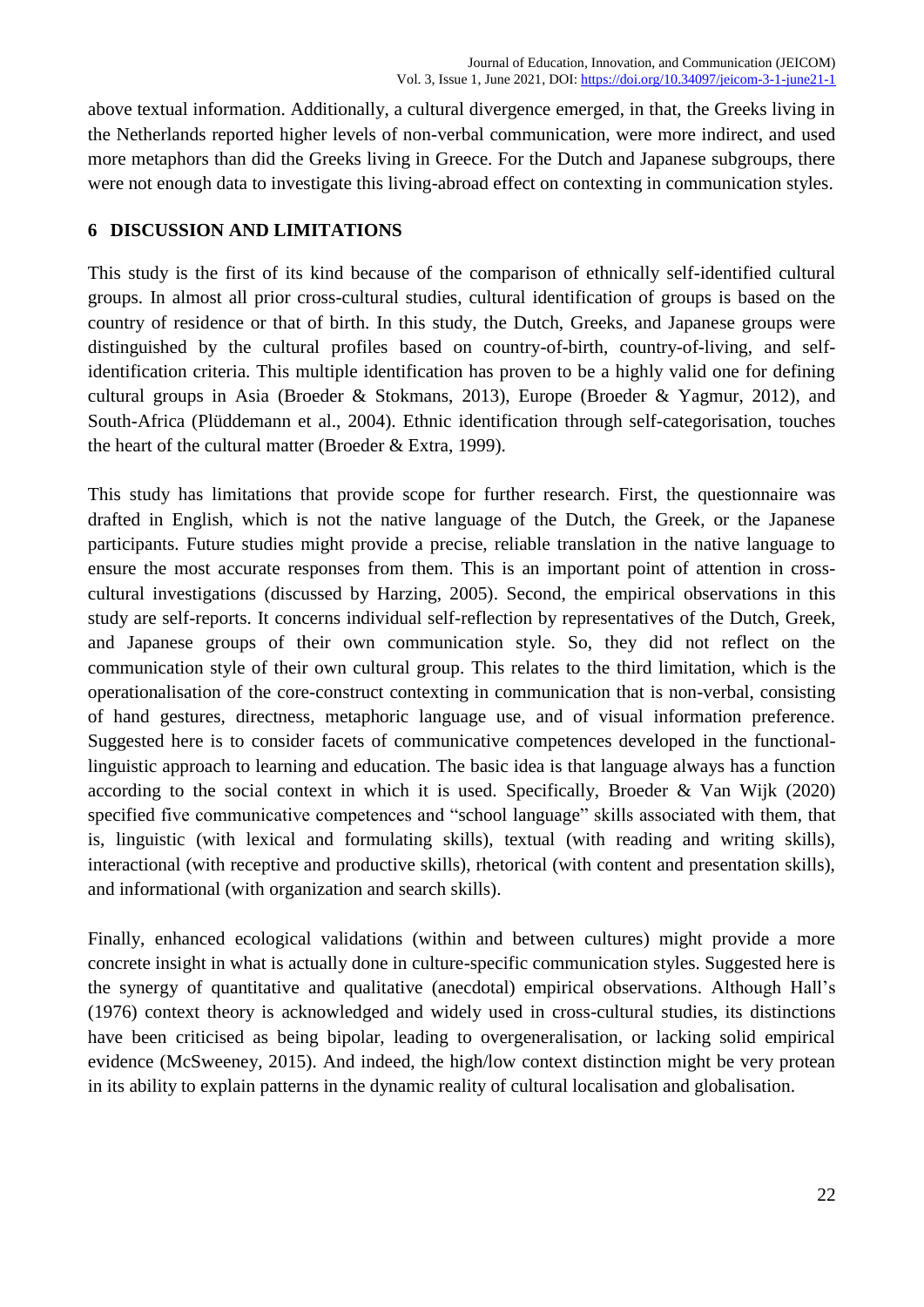above textual information. Additionally, a cultural divergence emerged, in that, the Greeks living in the Netherlands reported higher levels of non-verbal communication, were more indirect, and used more metaphors than did the Greeks living in Greece. For the Dutch and Japanese subgroups, there were not enough data to investigate this living-abroad effect on contexting in communication styles.

### **6 DISCUSSION AND LIMITATIONS**

This study is the first of its kind because of the comparison of ethnically self-identified cultural groups. In almost all prior cross-cultural studies, cultural identification of groups is based on the country of residence or that of birth. In this study, the Dutch, Greeks, and Japanese groups were distinguished by the cultural profiles based on country-of-birth, country-of-living, and selfidentification criteria. This multiple identification has proven to be a highly valid one for defining cultural groups in Asia (Broeder & Stokmans, 2013), Europe (Broeder & Yagmur, 2012), and South-Africa (Plüddemann et al., 2004). Ethnic identification through self-categorisation, touches the heart of the cultural matter (Broeder & Extra, 1999).

This study has limitations that provide scope for further research. First, the questionnaire was drafted in English, which is not the native language of the Dutch, the Greek, or the Japanese participants. Future studies might provide a precise, reliable translation in the native language to ensure the most accurate responses from them. This is an important point of attention in crosscultural investigations (discussed by Harzing, 2005). Second, the empirical observations in this study are self-reports. It concerns individual self-reflection by representatives of the Dutch, Greek, and Japanese groups of their own communication style. So, they did not reflect on the communication style of their own cultural group. This relates to the third limitation, which is the operationalisation of the core-construct contexting in communication that is non-verbal, consisting of hand gestures, directness, metaphoric language use, and of visual information preference. Suggested here is to consider facets of communicative competences developed in the functionallinguistic approach to learning and education. The basic idea is that language always has a function according to the social context in which it is used. Specifically, Broeder & Van Wijk (2020) specified five communicative competences and "school language" skills associated with them, that is, linguistic (with lexical and formulating skills), textual (with reading and writing skills), interactional (with receptive and productive skills), rhetorical (with content and presentation skills), and informational (with organization and search skills).

Finally, enhanced ecological validations (within and between cultures) might provide a more concrete insight in what is actually done in culture-specific communication styles. Suggested here is the synergy of quantitative and qualitative (anecdotal) empirical observations. Although Hall's (1976) context theory is acknowledged and widely used in cross-cultural studies, its distinctions have been criticised as being bipolar, leading to overgeneralisation, or lacking solid empirical evidence (McSweeney, 2015). And indeed, the high/low context distinction might be very protean in its ability to explain patterns in the dynamic reality of cultural localisation and globalisation.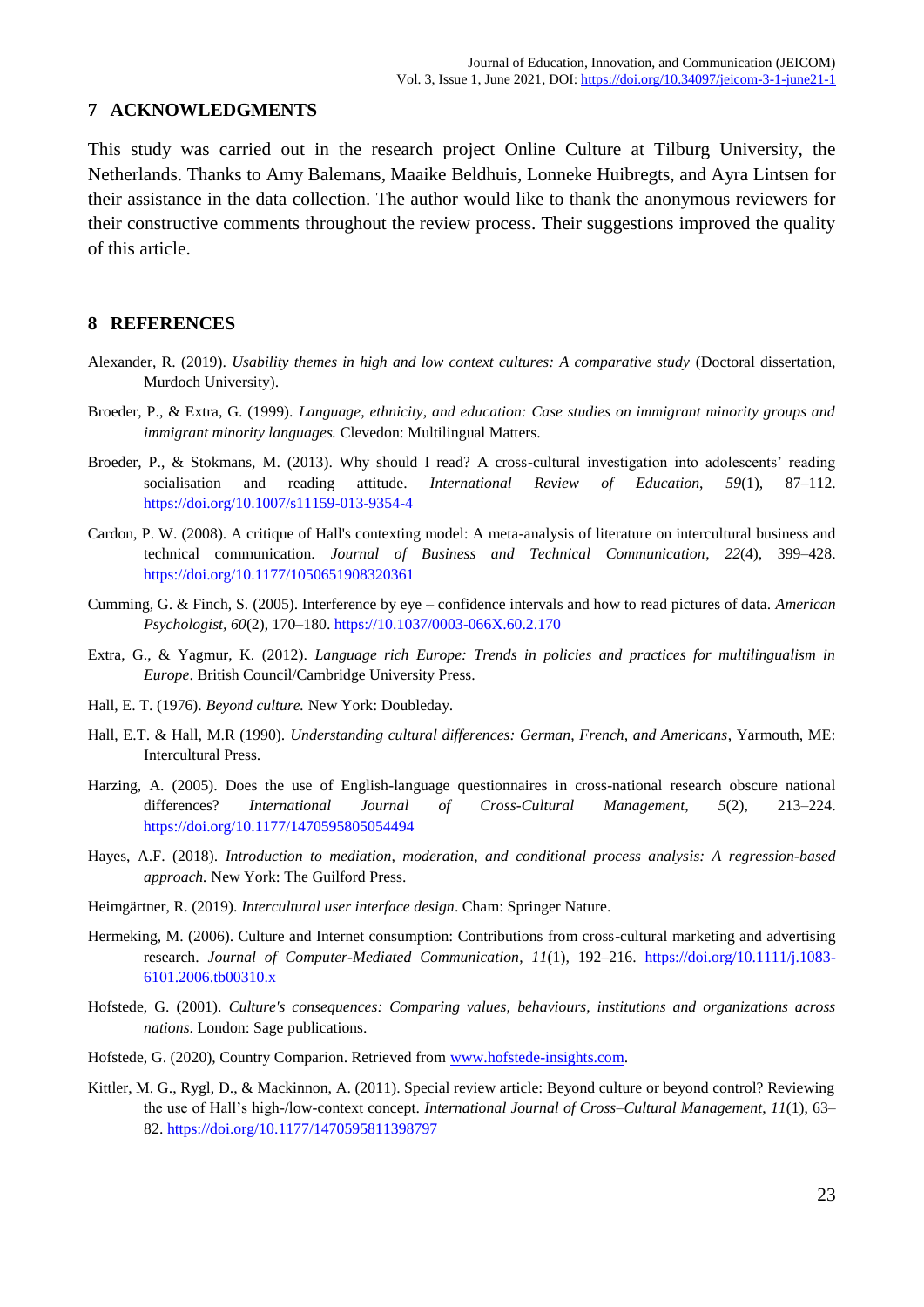#### **7 ACKNOWLEDGMENTS**

This study was carried out in the research project Online Culture at Tilburg University, the Netherlands. Thanks to Amy Balemans, Maaike Beldhuis, Lonneke Huibregts, and Ayra Lintsen for their assistance in the data collection. The author would like to thank the anonymous reviewers for their constructive comments throughout the review process. Their suggestions improved the quality of this article.

#### **8 REFERENCES**

- Alexander, R. (2019). *Usability themes in high and low context cultures: A comparative study* (Doctoral dissertation, Murdoch University).
- Broeder, P., & Extra, G. (1999). *Language, ethnicity, and education: Case studies on immigrant minority groups and immigrant minority languages.* Clevedon: Multilingual Matters.
- Broeder, P., & Stokmans, M. (2013). Why should I read? A cross-cultural investigation into adolescents' reading socialisation and reading attitude. *International Review of Education*, *59*(1), 87–112. <https://doi.org/10.1007/s11159-013-9354-4>
- Cardon, P. W. (2008). A critique of Hall's contexting model: A meta-analysis of literature on intercultural business and technical communication. *Journal of Business and Technical Communication*, *22*(4), 399–428. [https://doi.org/10.1177/1050651908320361](https://doi.org/10.1177%2F1050651908320361)
- Cumming, G. & Finch, S. (2005). Interference by eye confidence intervals and how to read pictures of data. *American Psychologist, 60*(2), 170–180. [https://10.1037/0003-066X.60.2.170](https://10.0.4.13/0003-066X.60.2.170)
- Extra, G., & Yagmur, K. (2012). *Language rich Europe: Trends in policies and practices for multilingualism in Europe*. British Council/Cambridge University Press.
- Hall, E. T. (1976). *Beyond culture.* New York: Doubleday.
- Hall, E.T. & Hall, M.R (1990). *Understanding cultural differences: German, French, and Americans*, Yarmouth, ME: Intercultural Press.
- Harzing, A. (2005). Does the use of English-language questionnaires in cross-national research obscure national differences? *International Journal of Cross-Cultural Management*, *5*(2), 213–224. [https://doi.org/10.1177/1470595805054494](https://doi.org/10.1177%2F1470595805054494)
- Hayes, A.F. (2018). *Introduction to mediation, moderation, and conditional process analysis: A regression-based approach.* New York: The Guilford Press.
- Heimgärtner, R. (2019). *Intercultural user interface design*. Cham: Springer Nature.
- Hermeking, M. (2006). Culture and Internet consumption: Contributions from cross-cultural marketing and advertising research. *Journal of Computer-Mediated Communication*, *11*(1), 192–216. [https://doi.org/10.1111/j.1083-](https://doi.org/10.1111/j.1083-6101.2006.tb00310.x) [6101.2006.tb00310.x](https://doi.org/10.1111/j.1083-6101.2006.tb00310.x)
- Hofstede, G. (2001). *Culture's consequences: Comparing values, behaviours, institutions and organizations across nations*. London: Sage publications.
- Hofstede, G. (2020), Country Comparion. Retrieved from [www.hofstede-insights.com.](http://www.hofstede-insights.com/)
- Kittler, M. G., Rygl, D., & Mackinnon, A. (2011). Special review article: Beyond culture or beyond control? Reviewing the use of Hall's high-/low-context concept. *International Journal of Cross–Cultural Management*, *11*(1), 63– 82. [https://doi.org/10.1177/1470595811398797](https://doi.org/10.1177%2F1470595811398797)